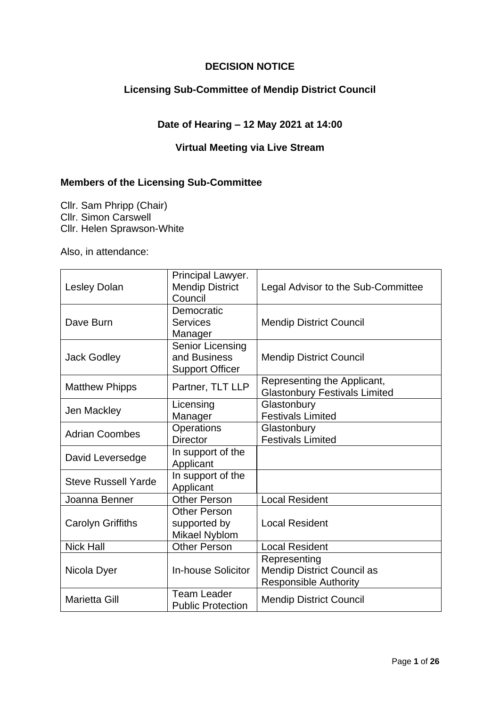## **DECISION NOTICE**

## **Licensing Sub-Committee of Mendip District Council**

## **Date of Hearing – 12 May 2021 at 14:00**

## **Virtual Meeting via Live Stream**

### **Members of the Licensing Sub-Committee**

Cllr. Sam Phripp (Chair) Cllr. Simon Carswell Cllr. Helen Sprawson-White

Also, in attendance:

| <b>Lesley Dolan</b>        | Principal Lawyer.<br><b>Mendip District</b><br>Council     | Legal Advisor to the Sub-Committee                                                |
|----------------------------|------------------------------------------------------------|-----------------------------------------------------------------------------------|
| Dave Burn                  | Democratic<br><b>Services</b><br>Manager                   | <b>Mendip District Council</b>                                                    |
| <b>Jack Godley</b>         | Senior Licensing<br>and Business<br><b>Support Officer</b> | <b>Mendip District Council</b>                                                    |
| <b>Matthew Phipps</b>      | Partner, TLT LLP                                           | Representing the Applicant,<br><b>Glastonbury Festivals Limited</b>               |
| Jen Mackley                | Licensing<br>Manager                                       | Glastonbury<br><b>Festivals Limited</b>                                           |
| <b>Adrian Coombes</b>      | <b>Operations</b><br><b>Director</b>                       | Glastonbury<br><b>Festivals Limited</b>                                           |
| David Leversedge           | In support of the<br>Applicant                             |                                                                                   |
| <b>Steve Russell Yarde</b> | In support of the<br>Applicant                             |                                                                                   |
| Joanna Benner              | <b>Other Person</b>                                        | <b>Local Resident</b>                                                             |
| <b>Carolyn Griffiths</b>   | <b>Other Person</b><br>supported by<br>Mikael Nyblom       | <b>Local Resident</b>                                                             |
| <b>Nick Hall</b>           | <b>Other Person</b>                                        | <b>Local Resident</b>                                                             |
| Nicola Dyer                | <b>In-house Solicitor</b>                                  | Representing<br><b>Mendip District Council as</b><br><b>Responsible Authority</b> |
| <b>Marietta Gill</b>       | <b>Team Leader</b><br><b>Public Protection</b>             | <b>Mendip District Council</b>                                                    |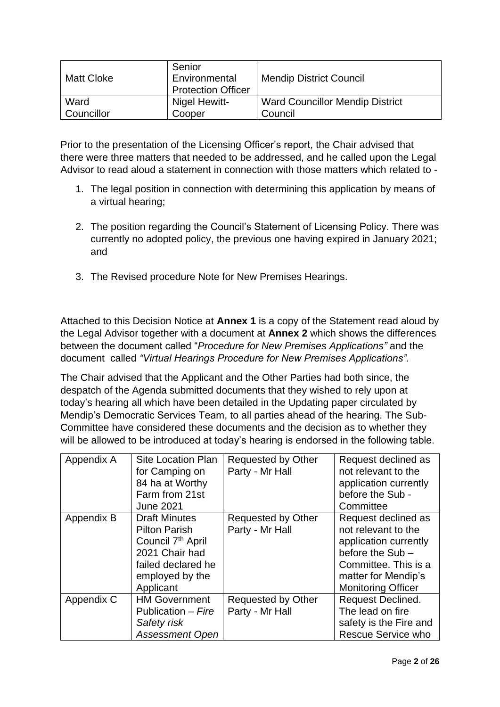| <b>Matt Cloke</b> | Senior<br>Environmental<br><b>Protection Officer</b> | <b>Mendip District Council</b>         |
|-------------------|------------------------------------------------------|----------------------------------------|
| Ward              | Nigel Hewitt-                                        | <b>Ward Councillor Mendip District</b> |
| Councillor        | Cooper                                               | Council                                |

Prior to the presentation of the Licensing Officer's report, the Chair advised that there were three matters that needed to be addressed, and he called upon the Legal Advisor to read aloud a statement in connection with those matters which related to -

- 1. The legal position in connection with determining this application by means of a virtual hearing;
- 2. The position regarding the Council's Statement of Licensing Policy. There was currently no adopted policy, the previous one having expired in January 2021; and
- 3. The Revised procedure Note for New Premises Hearings.

Attached to this Decision Notice at **Annex 1** is a copy of the Statement read aloud by the Legal Advisor together with a document at **Annex 2** which shows the differences between the document called "*Procedure for New Premises Applications"* and the document called *"Virtual Hearings Procedure for New Premises Applications".*

The Chair advised that the Applicant and the Other Parties had both since, the despatch of the Agenda submitted documents that they wished to rely upon at today's hearing all which have been detailed in the Updating paper circulated by Mendip's Democratic Services Team, to all parties ahead of the hearing. The Sub-Committee have considered these documents and the decision as to whether they will be allowed to be introduced at today's hearing is endorsed in the following table.

| Appendix A | <b>Site Location Plan</b><br>for Camping on<br>84 ha at Worthy<br>Farm from 21st<br><b>June 2021</b>                                                  | Requested by Other<br>Party - Mr Hall | Request declined as<br>not relevant to the<br>application currently<br>before the Sub -<br>Committee                                                               |
|------------|-------------------------------------------------------------------------------------------------------------------------------------------------------|---------------------------------------|--------------------------------------------------------------------------------------------------------------------------------------------------------------------|
| Appendix B | <b>Draft Minutes</b><br><b>Pilton Parish</b><br>Council 7 <sup>th</sup> April<br>2021 Chair had<br>failed declared he<br>employed by the<br>Applicant | Requested by Other<br>Party - Mr Hall | Request declined as<br>not relevant to the<br>application currently<br>before the Sub-<br>Committee. This is a<br>matter for Mendip's<br><b>Monitoring Officer</b> |
| Appendix C | <b>HM Government</b><br>Publication – Fire<br>Safety risk<br><b>Assessment Open</b>                                                                   | Requested by Other<br>Party - Mr Hall | Request Declined.<br>The lead on fire<br>safety is the Fire and<br><b>Rescue Service who</b>                                                                       |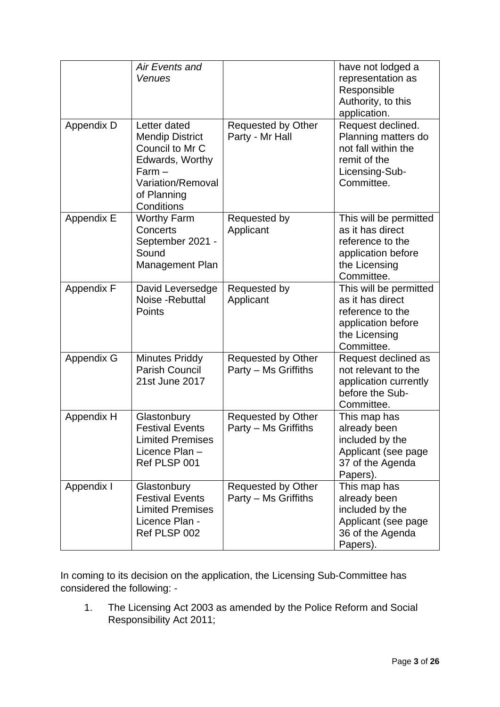|                   | Air Events and                       |                           | have not lodged a                   |
|-------------------|--------------------------------------|---------------------------|-------------------------------------|
|                   | Venues                               |                           | representation as                   |
|                   |                                      |                           | Responsible                         |
|                   |                                      |                           | Authority, to this                  |
|                   |                                      |                           | application.                        |
| <b>Appendix D</b> | Letter dated                         | Requested by Other        | Request declined.                   |
|                   | <b>Mendip District</b>               | Party - Mr Hall           | Planning matters do                 |
|                   | Council to Mr C                      |                           | not fall within the                 |
|                   | Edwards, Worthy                      |                           | remit of the                        |
|                   | $Farm -$<br><b>Variation/Removal</b> |                           | Licensing-Sub-<br>Committee.        |
|                   | of Planning                          |                           |                                     |
|                   | Conditions                           |                           |                                     |
| <b>Appendix E</b> | <b>Worthy Farm</b>                   | Requested by              | This will be permitted              |
|                   | <b>Concerts</b>                      | Applicant                 | as it has direct                    |
|                   | September 2021 -                     |                           | reference to the                    |
|                   | Sound                                |                           | application before                  |
|                   | Management Plan                      |                           | the Licensing                       |
|                   |                                      |                           | Committee.                          |
| <b>Appendix F</b> | David Leversedge                     | Requested by              | This will be permitted              |
|                   | Noise - Rebuttal                     | Applicant                 | as it has direct                    |
|                   | Points                               |                           | reference to the                    |
|                   |                                      |                           | application before<br>the Licensing |
|                   |                                      |                           | Committee.                          |
| <b>Appendix G</b> | <b>Minutes Priddy</b>                | <b>Requested by Other</b> | Request declined as                 |
|                   | <b>Parish Council</b>                | Party - Ms Griffiths      | not relevant to the                 |
|                   | 21st June 2017                       |                           | application currently               |
|                   |                                      |                           | before the Sub-                     |
|                   |                                      |                           | Committee.                          |
| Appendix H        | Glastonbury                          | Requested by Other        | This map has                        |
|                   | <b>Festival Events</b>               | Party - Ms Griffiths      | already been                        |
|                   | <b>Limited Premises</b>              |                           | included by the                     |
|                   | Licence Plan -                       |                           | Applicant (see page                 |
|                   | Ref PLSP 001                         |                           | 37 of the Agenda                    |
| Appendix I        | Glastonbury                          | <b>Requested by Other</b> | Papers).<br>This map has            |
|                   | <b>Festival Events</b>               | Party – Ms Griffiths      | already been                        |
|                   | <b>Limited Premises</b>              |                           | included by the                     |
|                   | Licence Plan -                       |                           | Applicant (see page                 |
|                   | Ref PLSP 002                         |                           | 36 of the Agenda                    |
|                   |                                      |                           | Papers).                            |

In coming to its decision on the application, the Licensing Sub-Committee has considered the following: -

1. The Licensing Act 2003 as amended by the Police Reform and Social Responsibility Act 2011;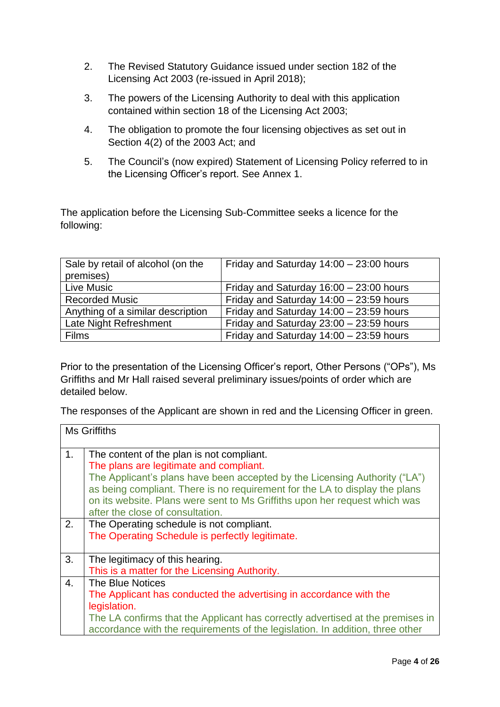- 2. The Revised Statutory Guidance issued under section 182 of the Licensing Act 2003 (re-issued in April 2018);
- 3. The powers of the Licensing Authority to deal with this application contained within section 18 of the Licensing Act 2003;
- 4. The obligation to promote the four licensing objectives as set out in Section 4(2) of the 2003 Act; and
- 5. The Council's (now expired) Statement of Licensing Policy referred to in the Licensing Officer's report. See Annex 1.

The application before the Licensing Sub-Committee seeks a licence for the following:

| Sale by retail of alcohol (on the | Friday and Saturday $14:00 - 23:00$ hours |
|-----------------------------------|-------------------------------------------|
| premises)                         |                                           |
| Live Music                        | Friday and Saturday $16:00 - 23:00$ hours |
| <b>Recorded Music</b>             | Friday and Saturday $14:00 - 23:59$ hours |
| Anything of a similar description | Friday and Saturday $14:00 - 23:59$ hours |
| Late Night Refreshment            | Friday and Saturday 23:00 - 23:59 hours   |
| <b>Films</b>                      | Friday and Saturday $14:00 - 23:59$ hours |

Prior to the presentation of the Licensing Officer's report, Other Persons ("OPs"), Ms Griffiths and Mr Hall raised several preliminary issues/points of order which are detailed below.

The responses of the Applicant are shown in red and the Licensing Officer in green.

|    | <b>Ms Griffiths</b>                                                                                                                                                                                                                                                                                                                                                 |
|----|---------------------------------------------------------------------------------------------------------------------------------------------------------------------------------------------------------------------------------------------------------------------------------------------------------------------------------------------------------------------|
| 1. | The content of the plan is not compliant.<br>The plans are legitimate and compliant.<br>The Applicant's plans have been accepted by the Licensing Authority ("LA")<br>as being compliant. There is no requirement for the LA to display the plans<br>on its website. Plans were sent to Ms Griffiths upon her request which was<br>after the close of consultation. |
| 2. | The Operating schedule is not compliant.<br>The Operating Schedule is perfectly legitimate.                                                                                                                                                                                                                                                                         |
| 3. | The legitimacy of this hearing.                                                                                                                                                                                                                                                                                                                                     |
|    | This is a matter for the Licensing Authority.                                                                                                                                                                                                                                                                                                                       |
| 4. | The Blue Notices                                                                                                                                                                                                                                                                                                                                                    |
|    | The Applicant has conducted the advertising in accordance with the                                                                                                                                                                                                                                                                                                  |
|    | legislation.                                                                                                                                                                                                                                                                                                                                                        |
|    | The LA confirms that the Applicant has correctly advertised at the premises in<br>accordance with the requirements of the legislation. In addition, three other                                                                                                                                                                                                     |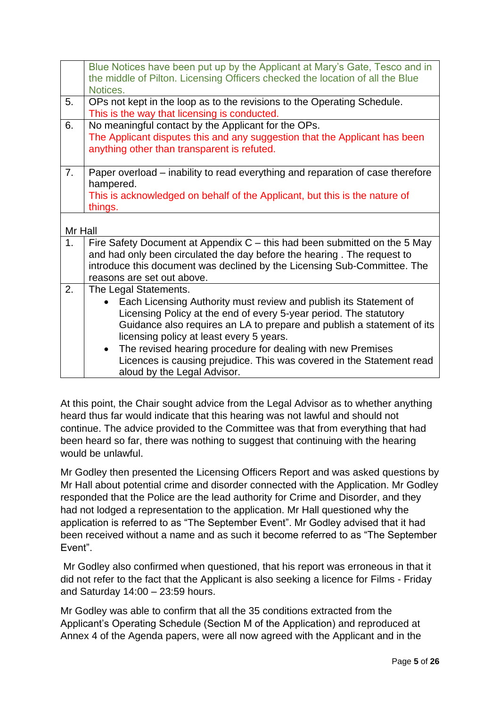|                | Blue Notices have been put up by the Applicant at Mary's Gate, Tesco and in<br>the middle of Pilton. Licensing Officers checked the location of all the Blue |  |
|----------------|--------------------------------------------------------------------------------------------------------------------------------------------------------------|--|
|                | Notices.                                                                                                                                                     |  |
| 5.             | OPs not kept in the loop as to the revisions to the Operating Schedule.                                                                                      |  |
|                | This is the way that licensing is conducted.                                                                                                                 |  |
| 6.             | No meaningful contact by the Applicant for the OPs.                                                                                                          |  |
|                | The Applicant disputes this and any suggestion that the Applicant has been                                                                                   |  |
|                | anything other than transparent is refuted.                                                                                                                  |  |
|                |                                                                                                                                                              |  |
| 7 <sub>1</sub> | Paper overload – inability to read everything and reparation of case therefore                                                                               |  |
|                | hampered.                                                                                                                                                    |  |
|                | This is acknowledged on behalf of the Applicant, but this is the nature of                                                                                   |  |
|                | things.                                                                                                                                                      |  |
|                |                                                                                                                                                              |  |
| Mr Hall        |                                                                                                                                                              |  |
| 1.             | Fire Safety Document at Appendix $C$ – this had been submitted on the 5 May                                                                                  |  |
|                | and had only been circulated the day before the hearing. The request to                                                                                      |  |
|                | introduce this document was declined by the Licensing Sub-Committee. The                                                                                     |  |
| 2.             | reasons are set out above.                                                                                                                                   |  |
|                | The Legal Statements.                                                                                                                                        |  |
|                | Each Licensing Authority must review and publish its Statement of                                                                                            |  |
|                | Licensing Policy at the end of every 5-year period. The statutory                                                                                            |  |
|                | Guidance also requires an LA to prepare and publish a statement of its                                                                                       |  |
|                | licensing policy at least every 5 years.                                                                                                                     |  |
|                | The revised hearing procedure for dealing with new Premises                                                                                                  |  |
|                | Licences is causing prejudice. This was covered in the Statement read                                                                                        |  |
|                | aloud by the Legal Advisor.                                                                                                                                  |  |

At this point, the Chair sought advice from the Legal Advisor as to whether anything heard thus far would indicate that this hearing was not lawful and should not continue. The advice provided to the Committee was that from everything that had been heard so far, there was nothing to suggest that continuing with the hearing would be unlawful.

Mr Godley then presented the Licensing Officers Report and was asked questions by Mr Hall about potential crime and disorder connected with the Application. Mr Godley responded that the Police are the lead authority for Crime and Disorder, and they had not lodged a representation to the application. Mr Hall questioned why the application is referred to as "The September Event". Mr Godley advised that it had been received without a name and as such it become referred to as "The September Event".

Mr Godley also confirmed when questioned, that his report was erroneous in that it did not refer to the fact that the Applicant is also seeking a licence for Films - Friday and Saturday 14:00 – 23:59 hours.

Mr Godley was able to confirm that all the 35 conditions extracted from the Applicant's Operating Schedule (Section M of the Application) and reproduced at Annex 4 of the Agenda papers, were all now agreed with the Applicant and in the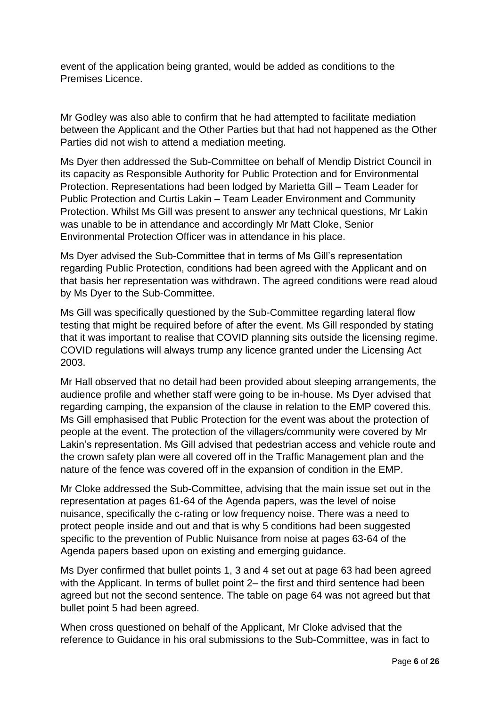event of the application being granted, would be added as conditions to the Premises Licence.

Mr Godley was also able to confirm that he had attempted to facilitate mediation between the Applicant and the Other Parties but that had not happened as the Other Parties did not wish to attend a mediation meeting.

Ms Dyer then addressed the Sub-Committee on behalf of Mendip District Council in its capacity as Responsible Authority for Public Protection and for Environmental Protection. Representations had been lodged by Marietta Gill – Team Leader for Public Protection and Curtis Lakin – Team Leader Environment and Community Protection. Whilst Ms Gill was present to answer any technical questions, Mr Lakin was unable to be in attendance and accordingly Mr Matt Cloke, Senior Environmental Protection Officer was in attendance in his place.

Ms Dyer advised the Sub-Committee that in terms of Ms Gill's representation regarding Public Protection, conditions had been agreed with the Applicant and on that basis her representation was withdrawn. The agreed conditions were read aloud by Ms Dyer to the Sub-Committee.

Ms Gill was specifically questioned by the Sub-Committee regarding lateral flow testing that might be required before of after the event. Ms Gill responded by stating that it was important to realise that COVID planning sits outside the licensing regime. COVID regulations will always trump any licence granted under the Licensing Act 2003.

Mr Hall observed that no detail had been provided about sleeping arrangements, the audience profile and whether staff were going to be in-house. Ms Dyer advised that regarding camping, the expansion of the clause in relation to the EMP covered this. Ms Gill emphasised that Public Protection for the event was about the protection of people at the event. The protection of the villagers/community were covered by Mr Lakin's representation. Ms Gill advised that pedestrian access and vehicle route and the crown safety plan were all covered off in the Traffic Management plan and the nature of the fence was covered off in the expansion of condition in the EMP.

Mr Cloke addressed the Sub-Committee, advising that the main issue set out in the representation at pages 61-64 of the Agenda papers, was the level of noise nuisance, specifically the c-rating or low frequency noise. There was a need to protect people inside and out and that is why 5 conditions had been suggested specific to the prevention of Public Nuisance from noise at pages 63-64 of the Agenda papers based upon on existing and emerging guidance.

Ms Dyer confirmed that bullet points 1, 3 and 4 set out at page 63 had been agreed with the Applicant. In terms of bullet point 2– the first and third sentence had been agreed but not the second sentence. The table on page 64 was not agreed but that bullet point 5 had been agreed.

When cross questioned on behalf of the Applicant, Mr Cloke advised that the reference to Guidance in his oral submissions to the Sub-Committee, was in fact to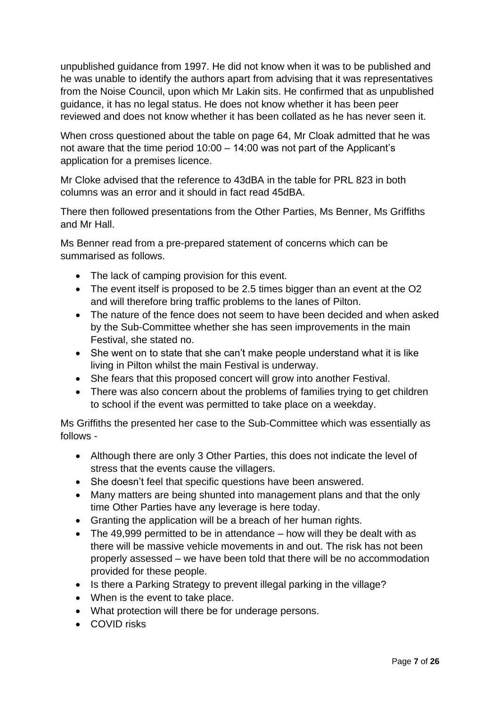unpublished guidance from 1997. He did not know when it was to be published and he was unable to identify the authors apart from advising that it was representatives from the Noise Council, upon which Mr Lakin sits. He confirmed that as unpublished guidance, it has no legal status. He does not know whether it has been peer reviewed and does not know whether it has been collated as he has never seen it.

When cross questioned about the table on page 64, Mr Cloak admitted that he was not aware that the time period 10:00 – 14:00 was not part of the Applicant's application for a premises licence.

Mr Cloke advised that the reference to 43dBA in the table for PRL 823 in both columns was an error and it should in fact read 45dBA.

There then followed presentations from the Other Parties, Ms Benner, Ms Griffiths and Mr Hall.

Ms Benner read from a pre-prepared statement of concerns which can be summarised as follows.

- The lack of camping provision for this event.
- The event itself is proposed to be 2.5 times bigger than an event at the O2 and will therefore bring traffic problems to the lanes of Pilton.
- The nature of the fence does not seem to have been decided and when asked by the Sub-Committee whether she has seen improvements in the main Festival, she stated no.
- She went on to state that she can't make people understand what it is like living in Pilton whilst the main Festival is underway.
- She fears that this proposed concert will grow into another Festival.
- There was also concern about the problems of families trying to get children to school if the event was permitted to take place on a weekday.

Ms Griffiths the presented her case to the Sub-Committee which was essentially as follows -

- Although there are only 3 Other Parties, this does not indicate the level of stress that the events cause the villagers.
- She doesn't feel that specific questions have been answered.
- Many matters are being shunted into management plans and that the only time Other Parties have any leverage is here today.
- Granting the application will be a breach of her human rights.
- The 49,999 permitted to be in attendance how will they be dealt with as there will be massive vehicle movements in and out. The risk has not been properly assessed – we have been told that there will be no accommodation provided for these people.
- Is there a Parking Strategy to prevent illegal parking in the village?
- When is the event to take place.
- What protection will there be for underage persons.
- COVID risks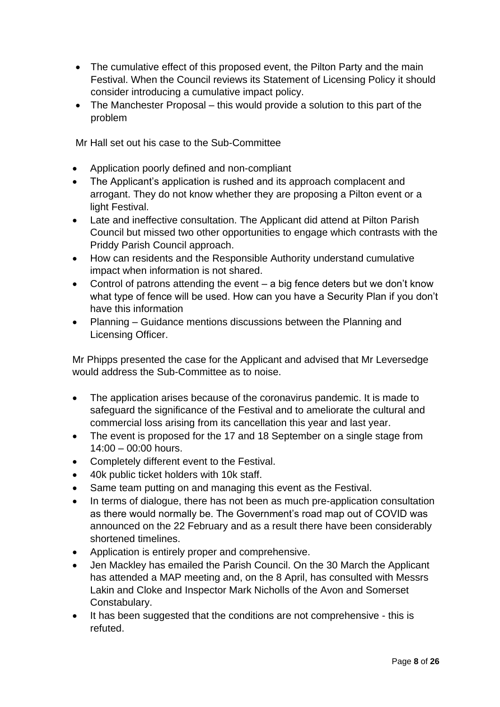- The cumulative effect of this proposed event, the Pilton Party and the main Festival. When the Council reviews its Statement of Licensing Policy it should consider introducing a cumulative impact policy.
- The Manchester Proposal this would provide a solution to this part of the problem

Mr Hall set out his case to the Sub-Committee

- Application poorly defined and non-compliant
- The Applicant's application is rushed and its approach complacent and arrogant. They do not know whether they are proposing a Pilton event or a light Festival.
- Late and ineffective consultation. The Applicant did attend at Pilton Parish Council but missed two other opportunities to engage which contrasts with the Priddy Parish Council approach.
- How can residents and the Responsible Authority understand cumulative impact when information is not shared.
- Control of patrons attending the event a big fence deters but we don't know what type of fence will be used. How can you have a Security Plan if you don't have this information
- Planning Guidance mentions discussions between the Planning and Licensing Officer.

Mr Phipps presented the case for the Applicant and advised that Mr Leversedge would address the Sub-Committee as to noise.

- The application arises because of the coronavirus pandemic. It is made to safeguard the significance of the Festival and to ameliorate the cultural and commercial loss arising from its cancellation this year and last year.
- The event is proposed for the 17 and 18 September on a single stage from 14:00 – 00:00 hours.
- Completely different event to the Festival.
- 40k public ticket holders with 10k staff.
- Same team putting on and managing this event as the Festival.
- In terms of dialogue, there has not been as much pre-application consultation as there would normally be. The Government's road map out of COVID was announced on the 22 February and as a result there have been considerably shortened timelines.
- Application is entirely proper and comprehensive.
- Jen Mackley has emailed the Parish Council. On the 30 March the Applicant has attended a MAP meeting and, on the 8 April, has consulted with Messrs Lakin and Cloke and Inspector Mark Nicholls of the Avon and Somerset Constabulary.
- It has been suggested that the conditions are not comprehensive this is refuted.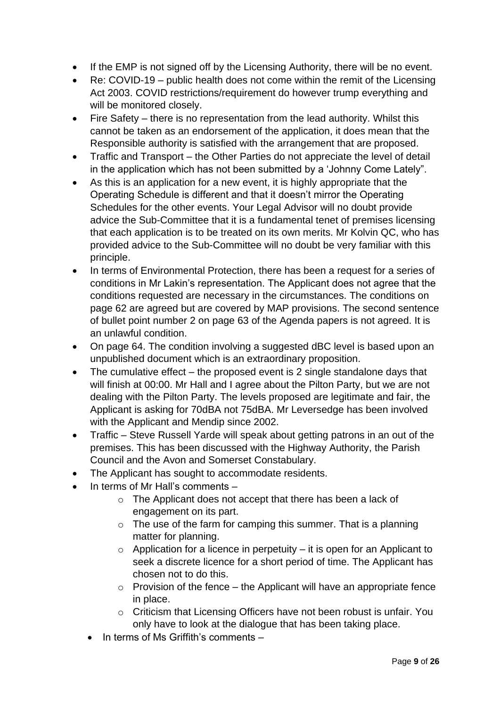- If the EMP is not signed off by the Licensing Authority, there will be no event.
- Re: COVID-19 public health does not come within the remit of the Licensing Act 2003. COVID restrictions/requirement do however trump everything and will be monitored closely.
- Fire Safety there is no representation from the lead authority. Whilst this cannot be taken as an endorsement of the application, it does mean that the Responsible authority is satisfied with the arrangement that are proposed.
- Traffic and Transport the Other Parties do not appreciate the level of detail in the application which has not been submitted by a 'Johnny Come Lately".
- As this is an application for a new event, it is highly appropriate that the Operating Schedule is different and that it doesn't mirror the Operating Schedules for the other events. Your Legal Advisor will no doubt provide advice the Sub-Committee that it is a fundamental tenet of premises licensing that each application is to be treated on its own merits. Mr Kolvin QC, who has provided advice to the Sub-Committee will no doubt be very familiar with this principle.
- In terms of Environmental Protection, there has been a request for a series of conditions in Mr Lakin's representation. The Applicant does not agree that the conditions requested are necessary in the circumstances. The conditions on page 62 are agreed but are covered by MAP provisions. The second sentence of bullet point number 2 on page 63 of the Agenda papers is not agreed. It is an unlawful condition.
- On page 64. The condition involving a suggested dBC level is based upon an unpublished document which is an extraordinary proposition.
- The cumulative effect the proposed event is 2 single standalone days that will finish at 00:00. Mr Hall and I agree about the Pilton Party, but we are not dealing with the Pilton Party. The levels proposed are legitimate and fair, the Applicant is asking for 70dBA not 75dBA. Mr Leversedge has been involved with the Applicant and Mendip since 2002.
- Traffic Steve Russell Yarde will speak about getting patrons in an out of the premises. This has been discussed with the Highway Authority, the Parish Council and the Avon and Somerset Constabulary.
- The Applicant has sought to accommodate residents.
- In terms of Mr Hall's comments
	- o The Applicant does not accept that there has been a lack of engagement on its part.
	- $\circ$  The use of the farm for camping this summer. That is a planning matter for planning.
	- $\circ$  Application for a licence in perpetuity it is open for an Applicant to seek a discrete licence for a short period of time. The Applicant has chosen not to do this.
	- $\circ$  Provision of the fence the Applicant will have an appropriate fence in place.
	- o Criticism that Licensing Officers have not been robust is unfair. You only have to look at the dialogue that has been taking place.
	- In terms of Ms Griffith's comments –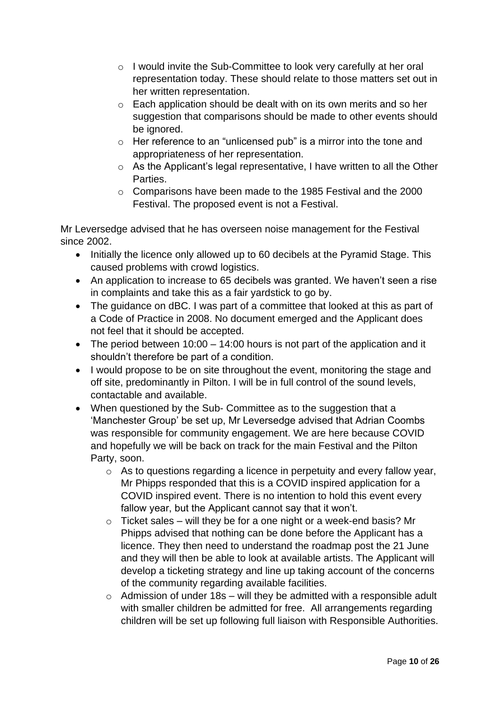- o I would invite the Sub-Committee to look very carefully at her oral representation today. These should relate to those matters set out in her written representation.
- o Each application should be dealt with on its own merits and so her suggestion that comparisons should be made to other events should be ignored.
- $\circ$  Her reference to an "unlicensed pub" is a mirror into the tone and appropriateness of her representation.
- o As the Applicant's legal representative, I have written to all the Other Parties.
- o Comparisons have been made to the 1985 Festival and the 2000 Festival. The proposed event is not a Festival.

Mr Leversedge advised that he has overseen noise management for the Festival since 2002.

- Initially the licence only allowed up to 60 decibels at the Pyramid Stage. This caused problems with crowd logistics.
- An application to increase to 65 decibels was granted. We haven't seen a rise in complaints and take this as a fair yardstick to go by.
- The quidance on dBC. I was part of a committee that looked at this as part of a Code of Practice in 2008. No document emerged and the Applicant does not feel that it should be accepted.
- The period between 10:00 14:00 hours is not part of the application and it shouldn't therefore be part of a condition.
- I would propose to be on site throughout the event, monitoring the stage and off site, predominantly in Pilton. I will be in full control of the sound levels, contactable and available.
- When questioned by the Sub- Committee as to the suggestion that a 'Manchester Group' be set up, Mr Leversedge advised that Adrian Coombs was responsible for community engagement. We are here because COVID and hopefully we will be back on track for the main Festival and the Pilton Party, soon.
	- o As to questions regarding a licence in perpetuity and every fallow year, Mr Phipps responded that this is a COVID inspired application for a COVID inspired event. There is no intention to hold this event every fallow year, but the Applicant cannot say that it won't.
	- $\circ$  Ticket sales will they be for a one night or a week-end basis? Mr Phipps advised that nothing can be done before the Applicant has a licence. They then need to understand the roadmap post the 21 June and they will then be able to look at available artists. The Applicant will develop a ticketing strategy and line up taking account of the concerns of the community regarding available facilities.
	- $\circ$  Admission of under 18s will they be admitted with a responsible adult with smaller children be admitted for free. All arrangements regarding children will be set up following full liaison with Responsible Authorities.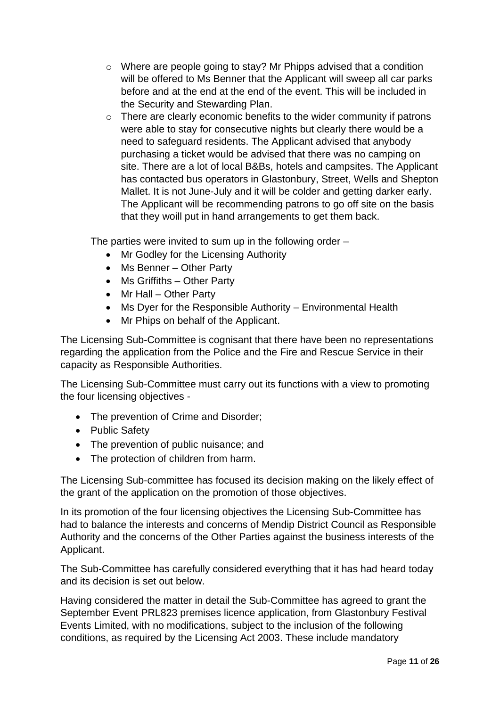- o Where are people going to stay? Mr Phipps advised that a condition will be offered to Ms Benner that the Applicant will sweep all car parks before and at the end at the end of the event. This will be included in the Security and Stewarding Plan.
- o There are clearly economic benefits to the wider community if patrons were able to stay for consecutive nights but clearly there would be a need to safeguard residents. The Applicant advised that anybody purchasing a ticket would be advised that there was no camping on site. There are a lot of local B&Bs, hotels and campsites. The Applicant has contacted bus operators in Glastonbury, Street, Wells and Shepton Mallet. It is not June-July and it will be colder and getting darker early. The Applicant will be recommending patrons to go off site on the basis that they woill put in hand arrangements to get them back.

The parties were invited to sum up in the following order –

- Mr Godley for the Licensing Authority
- Ms Benner Other Party
- Ms Griffiths Other Party
- Mr Hall Other Party
- Ms Dyer for the Responsible Authority Environmental Health
- Mr Phips on behalf of the Applicant.

The Licensing Sub-Committee is cognisant that there have been no representations regarding the application from the Police and the Fire and Rescue Service in their capacity as Responsible Authorities.

The Licensing Sub-Committee must carry out its functions with a view to promoting the four licensing objectives -

- The prevention of Crime and Disorder;
- Public Safety
- The prevention of public nuisance; and
- The protection of children from harm.

The Licensing Sub-committee has focused its decision making on the likely effect of the grant of the application on the promotion of those objectives.

In its promotion of the four licensing objectives the Licensing Sub-Committee has had to balance the interests and concerns of Mendip District Council as Responsible Authority and the concerns of the Other Parties against the business interests of the Applicant.

The Sub-Committee has carefully considered everything that it has had heard today and its decision is set out below.

Having considered the matter in detail the Sub-Committee has agreed to grant the September Event PRL823 premises licence application, from Glastonbury Festival Events Limited, with no modifications, subject to the inclusion of the following conditions, as required by the Licensing Act 2003. These include mandatory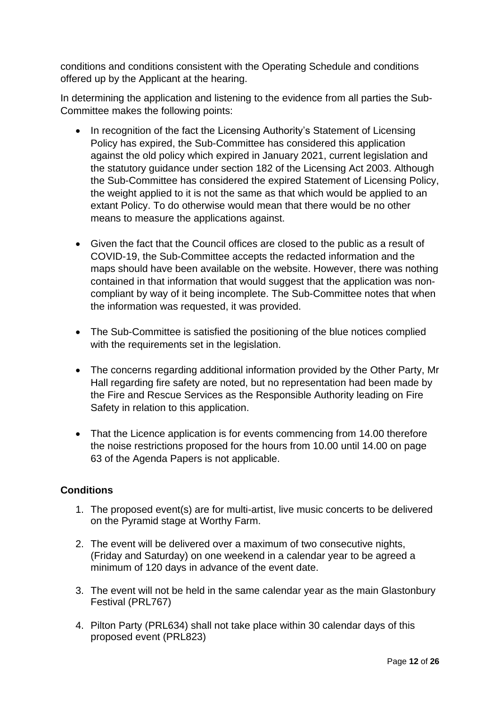conditions and conditions consistent with the Operating Schedule and conditions offered up by the Applicant at the hearing.

In determining the application and listening to the evidence from all parties the Sub-Committee makes the following points:

- In recognition of the fact the Licensing Authority's Statement of Licensing Policy has expired, the Sub-Committee has considered this application against the old policy which expired in January 2021, current legislation and the statutory guidance under section 182 of the Licensing Act 2003. Although the Sub-Committee has considered the expired Statement of Licensing Policy, the weight applied to it is not the same as that which would be applied to an extant Policy. To do otherwise would mean that there would be no other means to measure the applications against.
- Given the fact that the Council offices are closed to the public as a result of COVID-19, the Sub-Committee accepts the redacted information and the maps should have been available on the website. However, there was nothing contained in that information that would suggest that the application was noncompliant by way of it being incomplete. The Sub-Committee notes that when the information was requested, it was provided.
- The Sub-Committee is satisfied the positioning of the blue notices complied with the requirements set in the legislation.
- The concerns regarding additional information provided by the Other Party, Mr Hall regarding fire safety are noted, but no representation had been made by the Fire and Rescue Services as the Responsible Authority leading on Fire Safety in relation to this application.
- That the Licence application is for events commencing from 14.00 therefore the noise restrictions proposed for the hours from 10.00 until 14.00 on page 63 of the Agenda Papers is not applicable.

## **Conditions**

- 1. The proposed event(s) are for multi-artist, live music concerts to be delivered on the Pyramid stage at Worthy Farm.
- 2. The event will be delivered over a maximum of two consecutive nights, (Friday and Saturday) on one weekend in a calendar year to be agreed a minimum of 120 days in advance of the event date.
- 3. The event will not be held in the same calendar year as the main Glastonbury Festival (PRL767)
- 4. Pilton Party (PRL634) shall not take place within 30 calendar days of this proposed event (PRL823)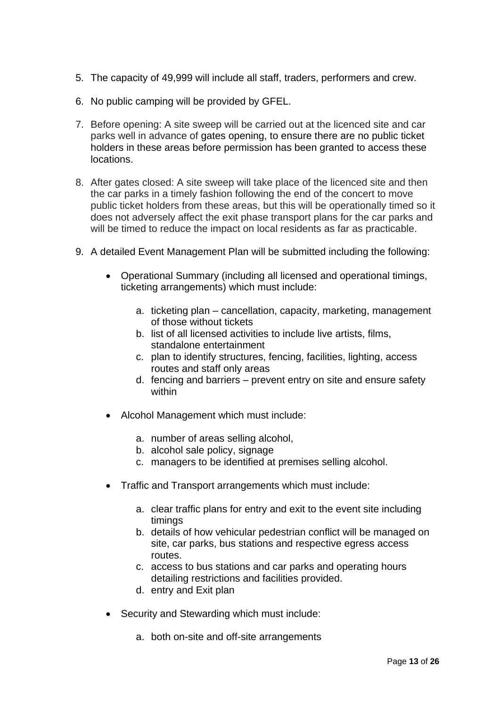- 5. The capacity of 49,999 will include all staff, traders, performers and crew.
- 6. No public camping will be provided by GFEL.
- 7. Before opening: A site sweep will be carried out at the licenced site and car parks well in advance of gates opening, to ensure there are no public ticket holders in these areas before permission has been granted to access these locations.
- 8. After gates closed: A site sweep will take place of the licenced site and then the car parks in a timely fashion following the end of the concert to move public ticket holders from these areas, but this will be operationally timed so it does not adversely affect the exit phase transport plans for the car parks and will be timed to reduce the impact on local residents as far as practicable.
- 9. A detailed Event Management Plan will be submitted including the following:
	- Operational Summary (including all licensed and operational timings, ticketing arrangements) which must include:
		- a. ticketing plan cancellation, capacity, marketing, management of those without tickets
		- b. list of all licensed activities to include live artists, films, standalone entertainment
		- c. plan to identify structures, fencing, facilities, lighting, access routes and staff only areas
		- d. fencing and barriers prevent entry on site and ensure safety within
	- Alcohol Management which must include:
		- a. number of areas selling alcohol,
		- b. alcohol sale policy, signage
		- c. managers to be identified at premises selling alcohol.
	- Traffic and Transport arrangements which must include:
		- a. clear traffic plans for entry and exit to the event site including timings
		- b. details of how vehicular pedestrian conflict will be managed on site, car parks, bus stations and respective egress access routes.
		- c. access to bus stations and car parks and operating hours detailing restrictions and facilities provided.
		- d. entry and Exit plan
	- Security and Stewarding which must include:
		- a. both on-site and off-site arrangements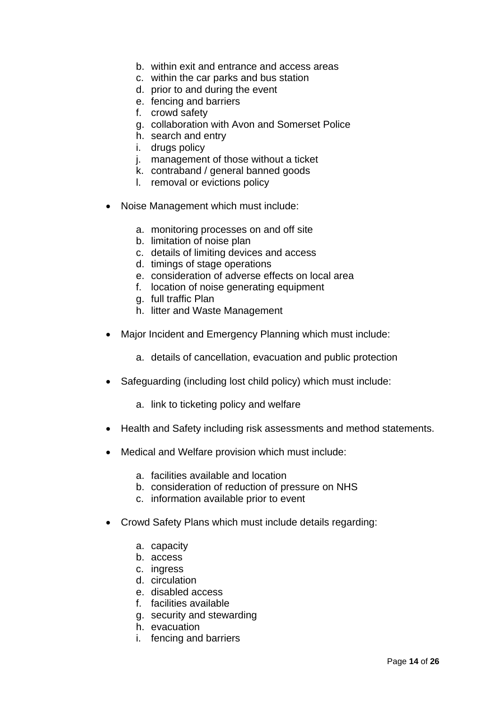- b. within exit and entrance and access areas
- c. within the car parks and bus station
- d. prior to and during the event
- e. fencing and barriers
- f. crowd safety
- g. collaboration with Avon and Somerset Police
- h. search and entry
- i. drugs policy
- j. management of those without a ticket
- k. contraband / general banned goods
- l. removal or evictions policy
- Noise Management which must include:
	- a. monitoring processes on and off site
	- b. limitation of noise plan
	- c. details of limiting devices and access
	- d. timings of stage operations
	- e. consideration of adverse effects on local area
	- f. location of noise generating equipment
	- g. full traffic Plan
	- h. litter and Waste Management
- Major Incident and Emergency Planning which must include:
	- a. details of cancellation, evacuation and public protection
- Safeguarding (including lost child policy) which must include:
	- a. link to ticketing policy and welfare
- Health and Safety including risk assessments and method statements.
- Medical and Welfare provision which must include:
	- a. facilities available and location
	- b. consideration of reduction of pressure on NHS
	- c. information available prior to event
- Crowd Safety Plans which must include details regarding:
	- a. capacity
	- b. access
	- c. ingress
	- d. circulation
	- e. disabled access
	- f. facilities available
	- g. security and stewarding
	- h. evacuation
	- i. fencing and barriers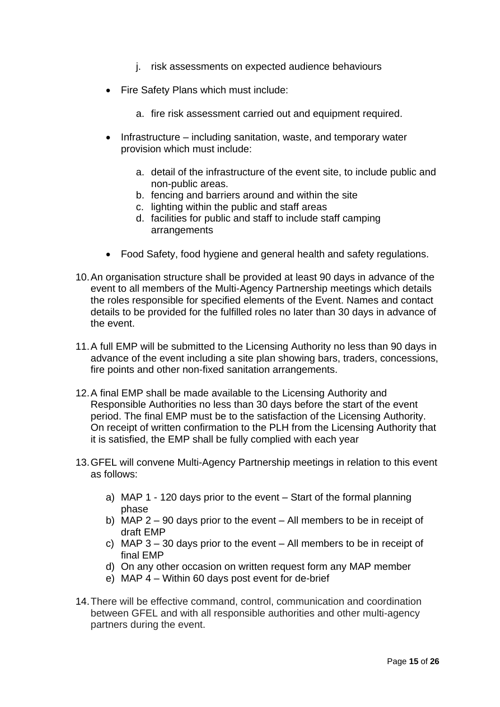- j. risk assessments on expected audience behaviours
- Fire Safety Plans which must include:
	- a. fire risk assessment carried out and equipment required.
- Infrastructure including sanitation, waste, and temporary water provision which must include:
	- a. detail of the infrastructure of the event site, to include public and non-public areas.
	- b. fencing and barriers around and within the site
	- c. lighting within the public and staff areas
	- d. facilities for public and staff to include staff camping arrangements
- Food Safety, food hygiene and general health and safety regulations.
- 10.An organisation structure shall be provided at least 90 days in advance of the event to all members of the Multi-Agency Partnership meetings which details the roles responsible for specified elements of the Event. Names and contact details to be provided for the fulfilled roles no later than 30 days in advance of the event.
- 11.A full EMP will be submitted to the Licensing Authority no less than 90 days in advance of the event including a site plan showing bars, traders, concessions, fire points and other non-fixed sanitation arrangements.
- 12.A final EMP shall be made available to the Licensing Authority and Responsible Authorities no less than 30 days before the start of the event period. The final EMP must be to the satisfaction of the Licensing Authority. On receipt of written confirmation to the PLH from the Licensing Authority that it is satisfied, the EMP shall be fully complied with each year
- 13.GFEL will convene Multi-Agency Partnership meetings in relation to this event as follows:
	- a) MAP 1 120 days prior to the event Start of the formal planning phase
	- b) MAP 2 90 days prior to the event All members to be in receipt of draft EMP
	- c) MAP 3 30 days prior to the event All members to be in receipt of final EMP
	- d) On any other occasion on written request form any MAP member
	- e) MAP 4 Within 60 days post event for de-brief
- 14.There will be effective command, control, communication and coordination between GFEL and with all responsible authorities and other multi-agency partners during the event.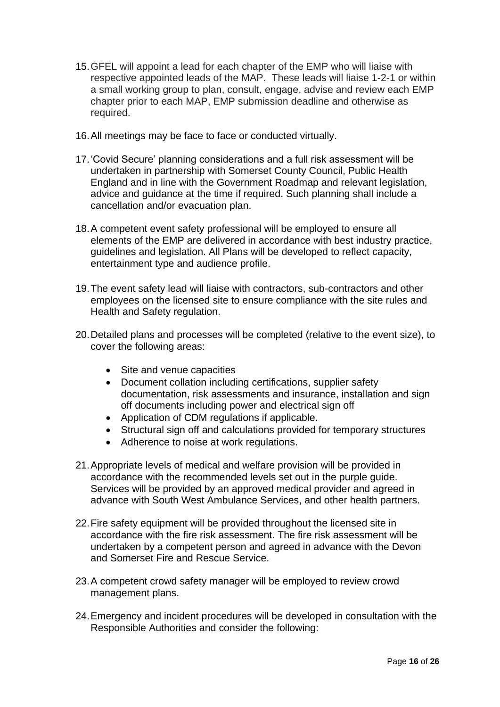- 15.GFEL will appoint a lead for each chapter of the EMP who will liaise with respective appointed leads of the MAP. These leads will liaise 1-2-1 or within a small working group to plan, consult, engage, advise and review each EMP chapter prior to each MAP, EMP submission deadline and otherwise as required.
- 16.All meetings may be face to face or conducted virtually.
- 17.'Covid Secure' planning considerations and a full risk assessment will be undertaken in partnership with Somerset County Council, Public Health England and in line with the Government Roadmap and relevant legislation, advice and guidance at the time if required. Such planning shall include a cancellation and/or evacuation plan.
- 18.A competent event safety professional will be employed to ensure all elements of the EMP are delivered in accordance with best industry practice, guidelines and legislation. All Plans will be developed to reflect capacity, entertainment type and audience profile.
- 19.The event safety lead will liaise with contractors, sub-contractors and other employees on the licensed site to ensure compliance with the site rules and Health and Safety regulation.
- 20.Detailed plans and processes will be completed (relative to the event size), to cover the following areas:
	- Site and venue capacities
	- Document collation including certifications, supplier safety documentation, risk assessments and insurance, installation and sign off documents including power and electrical sign off
	- Application of CDM regulations if applicable.
	- Structural sign off and calculations provided for temporary structures
	- Adherence to noise at work regulations.
- 21.Appropriate levels of medical and welfare provision will be provided in accordance with the recommended levels set out in the purple guide. Services will be provided by an approved medical provider and agreed in advance with South West Ambulance Services, and other health partners.
- 22.Fire safety equipment will be provided throughout the licensed site in accordance with the fire risk assessment. The fire risk assessment will be undertaken by a competent person and agreed in advance with the Devon and Somerset Fire and Rescue Service.
- 23.A competent crowd safety manager will be employed to review crowd management plans.
- 24.Emergency and incident procedures will be developed in consultation with the Responsible Authorities and consider the following: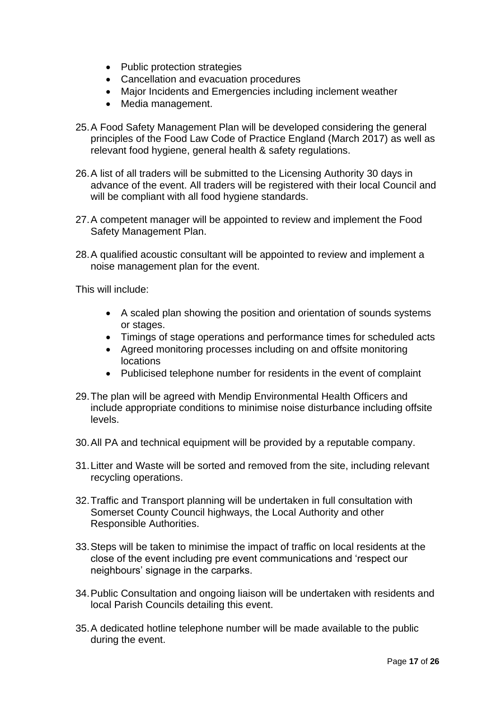- Public protection strategies
- Cancellation and evacuation procedures
- Major Incidents and Emergencies including inclement weather
- Media management.
- 25.A Food Safety Management Plan will be developed considering the general principles of the Food Law Code of Practice England (March 2017) as well as relevant food hygiene, general health & safety regulations.
- 26.A list of all traders will be submitted to the Licensing Authority 30 days in advance of the event. All traders will be registered with their local Council and will be compliant with all food hygiene standards.
- 27.A competent manager will be appointed to review and implement the Food Safety Management Plan.
- 28.A qualified acoustic consultant will be appointed to review and implement a noise management plan for the event.

This will include:

- A scaled plan showing the position and orientation of sounds systems or stages.
- Timings of stage operations and performance times for scheduled acts
- Agreed monitoring processes including on and offsite monitoring locations
- Publicised telephone number for residents in the event of complaint
- 29.The plan will be agreed with Mendip Environmental Health Officers and include appropriate conditions to minimise noise disturbance including offsite levels.
- 30.All PA and technical equipment will be provided by a reputable company.
- 31.Litter and Waste will be sorted and removed from the site, including relevant recycling operations.
- 32.Traffic and Transport planning will be undertaken in full consultation with Somerset County Council highways, the Local Authority and other Responsible Authorities.
- 33.Steps will be taken to minimise the impact of traffic on local residents at the close of the event including pre event communications and 'respect our neighbours' signage in the carparks.
- 34.Public Consultation and ongoing liaison will be undertaken with residents and local Parish Councils detailing this event.
- 35.A dedicated hotline telephone number will be made available to the public during the event.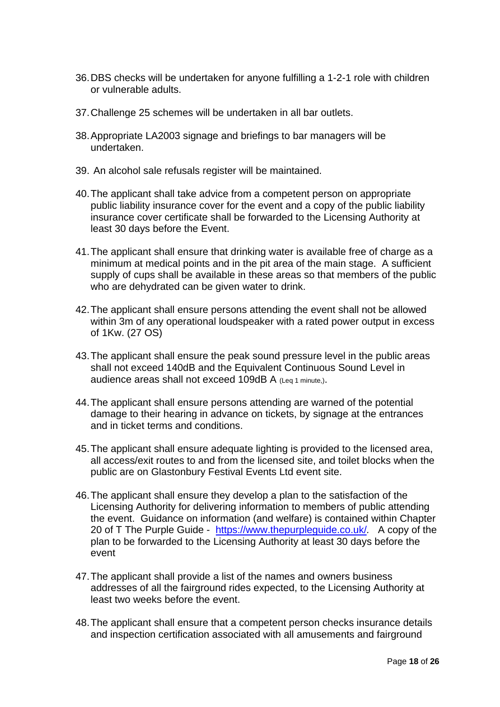- 36.DBS checks will be undertaken for anyone fulfilling a 1-2-1 role with children or vulnerable adults.
- 37.Challenge 25 schemes will be undertaken in all bar outlets.
- 38.Appropriate LA2003 signage and briefings to bar managers will be undertaken.
- 39. An alcohol sale refusals register will be maintained.
- 40.The applicant shall take advice from a competent person on appropriate public liability insurance cover for the event and a copy of the public liability insurance cover certificate shall be forwarded to the Licensing Authority at least 30 days before the Event.
- 41.The applicant shall ensure that drinking water is available free of charge as a minimum at medical points and in the pit area of the main stage. A sufficient supply of cups shall be available in these areas so that members of the public who are dehydrated can be given water to drink.
- 42.The applicant shall ensure persons attending the event shall not be allowed within 3m of any operational loudspeaker with a rated power output in excess of 1Kw. (27 OS)
- 43.The applicant shall ensure the peak sound pressure level in the public areas shall not exceed 140dB and the Equivalent Continuous Sound Level in audience areas shall not exceed 109dB A (Leg 1 minute.).
- 44.The applicant shall ensure persons attending are warned of the potential damage to their hearing in advance on tickets, by signage at the entrances and in ticket terms and conditions.
- 45.The applicant shall ensure adequate lighting is provided to the licensed area, all access/exit routes to and from the licensed site, and toilet blocks when the public are on Glastonbury Festival Events Ltd event site.
- 46.The applicant shall ensure they develop a plan to the satisfaction of the Licensing Authority for delivering information to members of public attending the event. Guidance on information (and welfare) is contained within Chapter 20 of T The Purple Guide - <https://www.thepurpleguide.co.uk/>*.* A copy of the plan to be forwarded to the Licensing Authority at least 30 days before the event
- 47.The applicant shall provide a list of the names and owners business addresses of all the fairground rides expected, to the Licensing Authority at least two weeks before the event.
- 48.The applicant shall ensure that a competent person checks insurance details and inspection certification associated with all amusements and fairground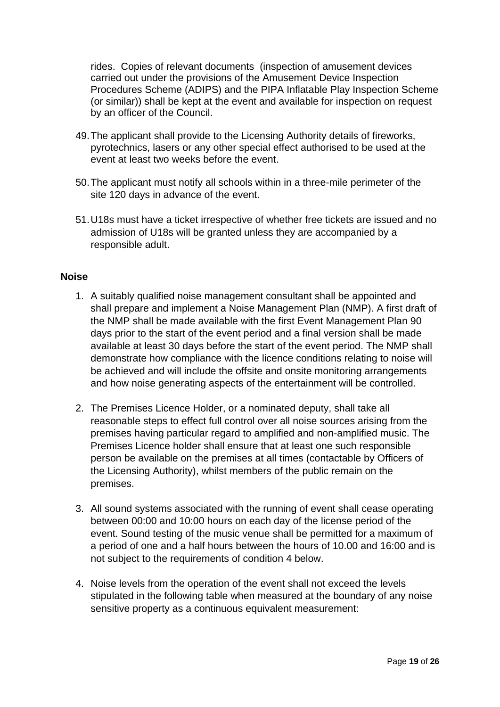rides. Copies of relevant documents (inspection of amusement devices carried out under the provisions of the Amusement Device Inspection Procedures Scheme (ADIPS) and the PIPA Inflatable Play Inspection Scheme (or similar)) shall be kept at the event and available for inspection on request by an officer of the Council.

- 49.The applicant shall provide to the Licensing Authority details of fireworks, pyrotechnics, lasers or any other special effect authorised to be used at the event at least two weeks before the event.
- 50.The applicant must notify all schools within in a three-mile perimeter of the site 120 days in advance of the event.
- 51.U18s must have a ticket irrespective of whether free tickets are issued and no admission of U18s will be granted unless they are accompanied by a responsible adult.

#### **Noise**

- 1. A suitably qualified noise management consultant shall be appointed and shall prepare and implement a Noise Management Plan (NMP). A first draft of the NMP shall be made available with the first Event Management Plan 90 days prior to the start of the event period and a final version shall be made available at least 30 days before the start of the event period. The NMP shall demonstrate how compliance with the licence conditions relating to noise will be achieved and will include the offsite and onsite monitoring arrangements and how noise generating aspects of the entertainment will be controlled.
- 2. The Premises Licence Holder, or a nominated deputy, shall take all reasonable steps to effect full control over all noise sources arising from the premises having particular regard to amplified and non-amplified music. The Premises Licence holder shall ensure that at least one such responsible person be available on the premises at all times (contactable by Officers of the Licensing Authority), whilst members of the public remain on the premises.
- 3. All sound systems associated with the running of event shall cease operating between 00:00 and 10:00 hours on each day of the license period of the event. Sound testing of the music venue shall be permitted for a maximum of a period of one and a half hours between the hours of 10.00 and 16:00 and is not subject to the requirements of condition 4 below.
- 4. Noise levels from the operation of the event shall not exceed the levels stipulated in the following table when measured at the boundary of any noise sensitive property as a continuous equivalent measurement: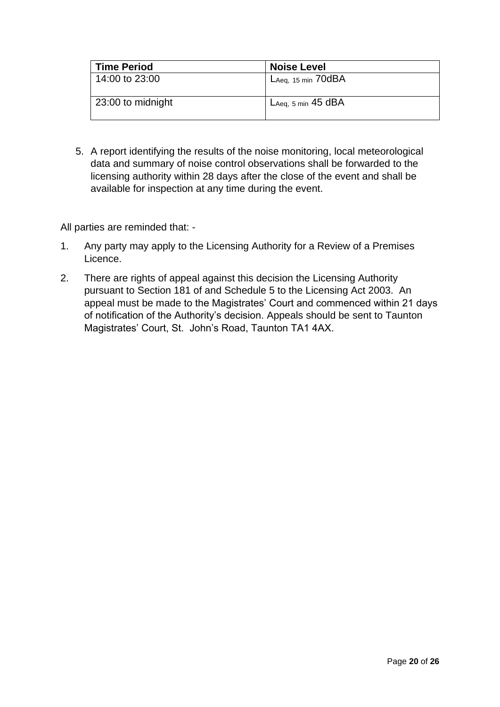| <b>Time Period</b> | <b>Noise Level</b>               |
|--------------------|----------------------------------|
| 14:00 to 23:00     | $L$ Aeq, 15 min $70$ d $BA$      |
| 23:00 to midnight  | L <sub>Aeq, 5</sub> min $45$ dBA |

5. A report identifying the results of the noise monitoring, local meteorological data and summary of noise control observations shall be forwarded to the licensing authority within 28 days after the close of the event and shall be available for inspection at any time during the event.

All parties are reminded that: -

- 1. Any party may apply to the Licensing Authority for a Review of a Premises Licence.
- 2. There are rights of appeal against this decision the Licensing Authority pursuant to Section 181 of and Schedule 5 to the Licensing Act 2003. An appeal must be made to the Magistrates' Court and commenced within 21 days of notification of the Authority's decision. Appeals should be sent to Taunton Magistrates' Court, St. John's Road, Taunton TA1 4AX.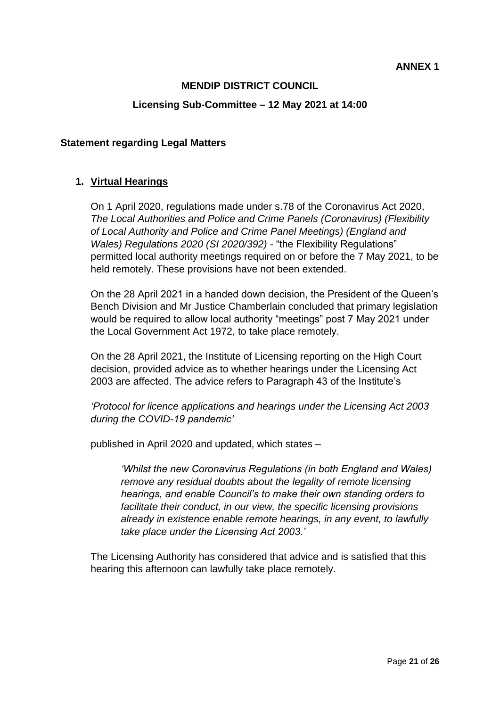## **MENDIP DISTRICT COUNCIL**

#### **Licensing Sub-Committee – 12 May 2021 at 14:00**

#### **Statement regarding Legal Matters**

#### **1. Virtual Hearings**

On 1 April 2020, regulations made under s.78 of the Coronavirus Act 2020, *The Local Authorities and Police and Crime Panels (Coronavirus) (Flexibility of Local Authority and Police and Crime Panel Meetings) (England and Wales) Regulations 2020 (SI 2020/392) -* "the Flexibility Regulations" permitted local authority meetings required on or before the 7 May 2021, to be held remotely. These provisions have not been extended.

On the 28 April 2021 in a handed down decision, the President of the Queen's Bench Division and Mr Justice Chamberlain concluded that primary legislation would be required to allow local authority "meetings" post 7 May 2021 under the Local Government Act 1972, to take place remotely.

On the 28 April 2021, the Institute of Licensing reporting on the High Court decision, provided advice as to whether hearings under the Licensing Act 2003 are affected. The advice refers to Paragraph 43 of the Institute's

*'Protocol for licence applications and hearings under the Licensing Act 2003 during the COVID-19 pandemic'*

published in April 2020 and updated, which states –

*'Whilst the new Coronavirus Regulations (in both England and Wales) remove any residual doubts about the legality of remote licensing hearings, and enable Council's to make their own standing orders to facilitate their conduct, in our view, the specific licensing provisions already in existence enable remote hearings, in any event, to lawfully take place under the Licensing Act 2003.'*

The Licensing Authority has considered that advice and is satisfied that this hearing this afternoon can lawfully take place remotely.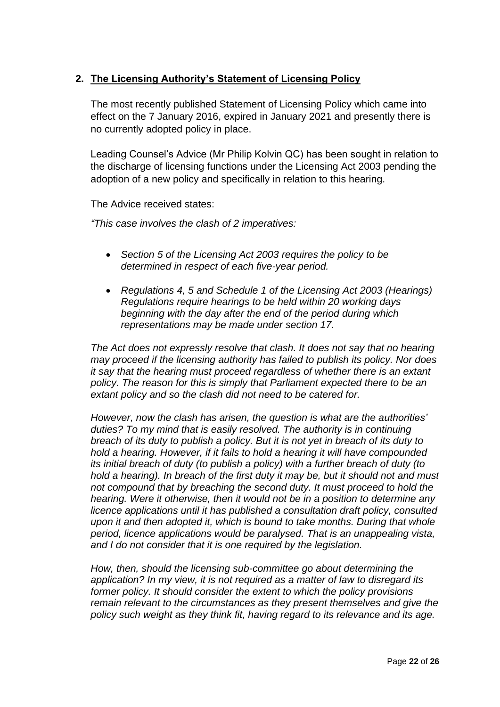## **2. The Licensing Authority's Statement of Licensing Policy**

The most recently published Statement of Licensing Policy which came into effect on the 7 January 2016, expired in January 2021 and presently there is no currently adopted policy in place.

Leading Counsel's Advice (Mr Philip Kolvin QC) has been sought in relation to the discharge of licensing functions under the Licensing Act 2003 pending the adoption of a new policy and specifically in relation to this hearing.

The Advice received states:

*"This case involves the clash of 2 imperatives:*

- *Section 5 of the Licensing Act 2003 requires the policy to be determined in respect of each five-year period.*
- *Regulations 4, 5 and Schedule 1 of the Licensing Act 2003 (Hearings) Regulations require hearings to be held within 20 working days beginning with the day after the end of the period during which representations may be made under section 17.*

*The Act does not expressly resolve that clash. It does not say that no hearing may proceed if the licensing authority has failed to publish its policy. Nor does it say that the hearing must proceed regardless of whether there is an extant policy. The reason for this is simply that Parliament expected there to be an extant policy and so the clash did not need to be catered for.*

*However, now the clash has arisen, the question is what are the authorities' duties? To my mind that is easily resolved. The authority is in continuing breach of its duty to publish a policy. But it is not yet in breach of its duty to hold a hearing. However, if it fails to hold a hearing it will have compounded its initial breach of duty (to publish a policy) with a further breach of duty (to hold a hearing). In breach of the first duty it may be, but it should not and must not compound that by breaching the second duty. It must proceed to hold the hearing. Were it otherwise, then it would not be in a position to determine any licence applications until it has published a consultation draft policy, consulted upon it and then adopted it, which is bound to take months. During that whole period, licence applications would be paralysed. That is an unappealing vista, and I do not consider that it is one required by the legislation.* 

*How, then, should the licensing sub-committee go about determining the application? In my view, it is not required as a matter of law to disregard its former policy. It should consider the extent to which the policy provisions remain relevant to the circumstances as they present themselves and give the policy such weight as they think fit, having regard to its relevance and its age.*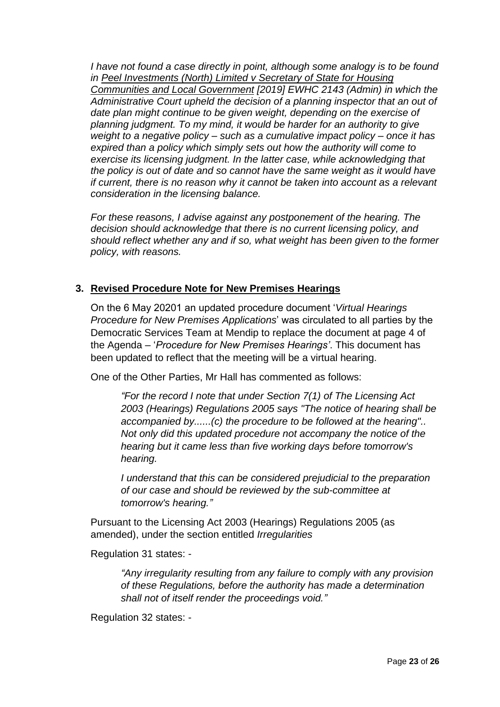*I* have not found a case directly in point, although some analogy is to be found *in Peel Investments (North) Limited v Secretary of State for Housing Communities and Local Government [2019] EWHC 2143 (Admin) in which the Administrative Court upheld the decision of a planning inspector that an out of date plan might continue to be given weight, depending on the exercise of planning judgment. To my mind, it would be harder for an authority to give weight to a negative policy – such as a cumulative impact policy – once it has expired than a policy which simply sets out how the authority will come to exercise its licensing judgment. In the latter case, while acknowledging that the policy is out of date and so cannot have the same weight as it would have if current, there is no reason why it cannot be taken into account as a relevant consideration in the licensing balance.*

*For these reasons, I advise against any postponement of the hearing. The decision should acknowledge that there is no current licensing policy, and should reflect whether any and if so, what weight has been given to the former policy, with reasons.*

## **3. Revised Procedure Note for New Premises Hearings**

On the 6 May 20201 an updated procedure document '*Virtual Hearings Procedure for New Premises Applications*' was circulated to all parties by the Democratic Services Team at Mendip to replace the document at page 4 of the Agenda – '*Procedure for New Premises Hearings'*. This document has been updated to reflect that the meeting will be a virtual hearing.

One of the Other Parties, Mr Hall has commented as follows:

*"For the record I note that under Section 7(1) of The Licensing Act 2003 (Hearings) Regulations 2005 says "The notice of hearing shall be accompanied by......(c) the procedure to be followed at the hearing".. Not only did this updated procedure not accompany the notice of the hearing but it came less than five working days before tomorrow's hearing.*

*I understand that this can be considered prejudicial to the preparation of our case and should be reviewed by the sub-committee at tomorrow's hearing."*

Pursuant to the Licensing Act 2003 (Hearings) Regulations 2005 (as amended), under the section entitled *Irregularities* 

Regulation 31 states: -

*"Any irregularity resulting from any failure to comply with any provision of these Regulations, before the authority has made a determination shall not of itself render the proceedings void."*

Regulation 32 states: -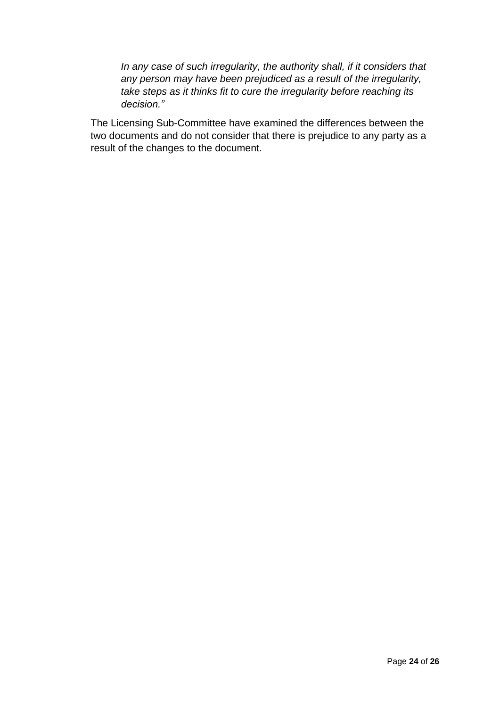*In any case of such irregularity, the authority shall, if it considers that any person may have been prejudiced as a result of the irregularity, take steps as it thinks fit to cure the irregularity before reaching its decision."*

The Licensing Sub-Committee have examined the differences between the two documents and do not consider that there is prejudice to any party as a result of the changes to the document.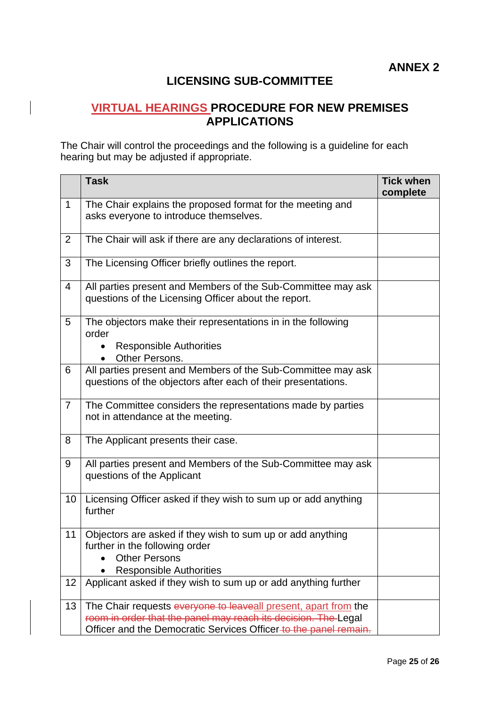# **LICENSING SUB-COMMITTEE**

## **VIRTUAL HEARINGS PROCEDURE FOR NEW PREMISES APPLICATIONS**

The Chair will control the proceedings and the following is a guideline for each hearing but may be adjusted if appropriate.

|                | <b>Task</b>                                                                                                                                                                                           | <b>Tick when</b><br>complete |
|----------------|-------------------------------------------------------------------------------------------------------------------------------------------------------------------------------------------------------|------------------------------|
| $\mathbf{1}$   | The Chair explains the proposed format for the meeting and<br>asks everyone to introduce themselves.                                                                                                  |                              |
| $\overline{2}$ | The Chair will ask if there are any declarations of interest.                                                                                                                                         |                              |
| 3              | The Licensing Officer briefly outlines the report.                                                                                                                                                    |                              |
| 4              | All parties present and Members of the Sub-Committee may ask<br>questions of the Licensing Officer about the report.                                                                                  |                              |
| 5              | The objectors make their representations in in the following<br>order<br><b>Responsible Authorities</b><br>Other Persons.                                                                             |                              |
| 6              | All parties present and Members of the Sub-Committee may ask<br>questions of the objectors after each of their presentations.                                                                         |                              |
| $\overline{7}$ | The Committee considers the representations made by parties<br>not in attendance at the meeting.                                                                                                      |                              |
| 8              | The Applicant presents their case.                                                                                                                                                                    |                              |
| 9              | All parties present and Members of the Sub-Committee may ask<br>questions of the Applicant                                                                                                            |                              |
| 10             | Licensing Officer asked if they wish to sum up or add anything<br>further                                                                                                                             |                              |
| 11             | Objectors are asked if they wish to sum up or add anything<br>further in the following order<br><b>Other Persons</b><br><b>Responsible Authorities</b>                                                |                              |
| 12             | Applicant asked if they wish to sum up or add anything further                                                                                                                                        |                              |
| 13             | The Chair requests everyone to leaveall present, apart from the<br>room in order that the panel may reach its decision. The Legal<br>Officer and the Democratic Services Officer-to the panel remain. |                              |